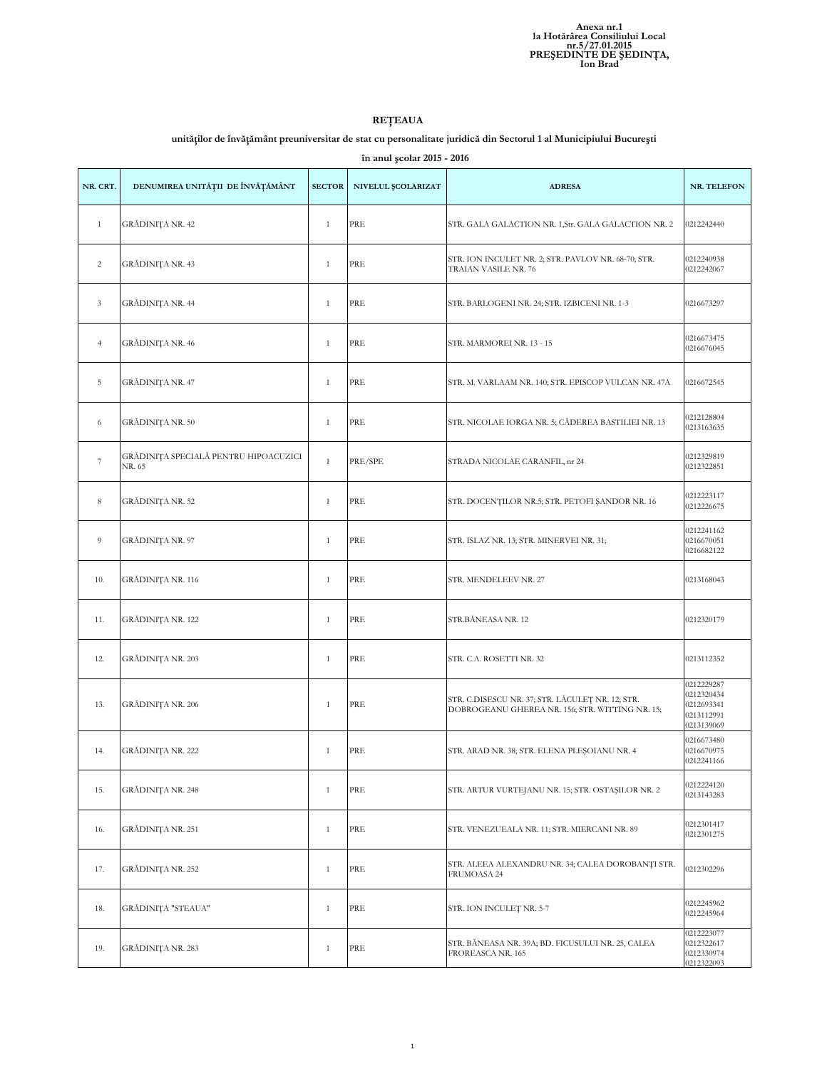## **REŢEAUA**

## **unităţilor de învăţământ preuniversitar de stat cu personalitate juridică din Sectorul 1 al Municipiului Bucureşti**

**în anul şcolar 2015 - 2016**

| NR. CRT.       | DENUMIREA UNITĂȚII DE ÎNVĂȚĂMÂNT                | <b>SECTOR</b> | NIVELUL ŞCOLARIZAT | <b>ADRESA</b>                                                                                       | <b>NR. TELEFON</b>                                                 |
|----------------|-------------------------------------------------|---------------|--------------------|-----------------------------------------------------------------------------------------------------|--------------------------------------------------------------------|
| $\mathbf{1}$   | GRĂDINIȚA NR. 42                                | $\mathbf{1}$  | PRE                | STR. GALA GALACTION NR. 1,Str. GALA GALACTION NR. 2                                                 | 0212242440                                                         |
| $\overline{c}$ | GRĂDINIȚA NR. 43                                | $\mathbf{1}$  | PRE                | STR. ION INCULET NR. 2; STR. PAVLOV NR. 68-70; STR.<br>TRAIAN VASILE NR. 76                         | 0212240938<br>0212242067                                           |
| $\mathfrak{Z}$ | GRĂDINIȚA NR. 44                                | $\mathbf{1}$  | PRE                | STR. BARLOGENI NR. 24; STR. IZBICENI NR. 1-3                                                        | 0216673297                                                         |
| $\overline{4}$ | GRĂDINIȚA NR. 46                                | $\mathbf{1}$  | PRE                | STR. MARMOREI NR. 13 - 15                                                                           | 0216673475<br>0216676045                                           |
| 5              | GRĂDINIȚA NR. 47                                | $\mathbf{1}$  | PRE                | STR. M. VARLAAM NR. 140; STR. EPISCOP VULCAN NR. 47A                                                | 0216672545                                                         |
| 6              | GRĂDINIȚA NR. 50                                | $\mathbf{1}$  | PRE                | STR. NICOLAE IORGA NR. 5; CĂDEREA BASTILIEI NR. 13                                                  | 0212128804<br>0213163635                                           |
| $\tau$         | GRĂDINIȚA SPECIALĂ PENTRU HIPOACUZICI<br>NR. 65 | $\mathbf{1}$  | PRE/SPE            | STRADA NICOLAE CARANFIL, nr 24                                                                      | 0212329819<br>0212322851                                           |
| 8              | GRĂDINIȚA NR. 52                                | $\mathbf{1}$  | PRE                | STR. DOCENTILOR NR.5; STR. PETOFI ŞANDOR NR. 16                                                     | 0212223117<br>0212226675                                           |
| 9              | GRĂDINIȚA NR. 97                                | $\mathbf{1}$  | PRE                | STR. ISLAZ NR. 13; STR. MINERVEI NR. 31;                                                            | 0212241162<br>0216670051<br>0216682122                             |
| 10.            | GRĂDINIȚA NR. 116                               | $\mathbf{1}$  | PRE                | STR. MENDELEEV NR. 27                                                                               | 0213168043                                                         |
| 11.            | GRĂDINIȚA NR. 122                               | $\mathbf{1}$  | PRE                | STR.BĂNEASA NR. 12                                                                                  | 0212320179                                                         |
| 12.            | GRĂDINIȚA NR. 203                               | $\mathbf{1}$  | PRE                | STR. C.A. ROSETTI NR. 32                                                                            | 0213112352                                                         |
| 13.            | GRĂDINIȚA NR. 206                               | $\mathbf{1}$  | PRE                | STR. C.DISESCU NR. 37; STR. LĂCULEȚ NR. 12; STR.<br>DOBROGEANU GHEREA NR. 156; STR. WITTING NR. 15; | 0212229287<br>0212320434<br>0212693341<br>0213112991<br>0213139069 |
| 14.            | GRĂDINIȚA NR. 222                               | $\mathbf{1}$  | PRE                | STR. ARAD NR. 38; STR. ELENA PLEȘOIANU NR. 4                                                        | 0216673480<br>0216670975<br>0212241166                             |
| 15.            | GRĂDINIȚA NR. 248                               | $\mathbf{1}$  | PRE                | STR. ARTUR VURTEJANU NR. 15; STR. OSTAȘILOR NR. 2                                                   | 0212224120<br>0213143283                                           |
| 16.            | GRĂDINIȚA NR. 251                               | $\mathbf{1}$  | PRE                | STR. VENEZUEALA NR. 11; STR. MIERCANI NR. 89                                                        | 0212301417<br>0212301275                                           |
| 17.            | GRĂDINIȚA NR. 252                               | $\mathbf{1}$  | PRE                | STR. ALEEA ALEXANDRU NR. 34; CALEA DOROBANȚI STR.<br>FRUMOASA 24                                    | 0212302296                                                         |
| 18.            | GRĂDINIȚA "STEAUA"                              | $\mathbf{1}$  | PRE                | STR. ION INCULET NR. 5-7                                                                            | 0212245962<br>0212245964                                           |
| 19.            | GRĂDINIȚA NR. 283                               | $\mathbf{1}$  | PRE                | STR. BĂNEASA NR. 39A; BD. FICUSULUI NR. 25, CALEA<br>FROREASCA NR. 165                              | 0212223077<br>0212322617<br>0212330974<br>0212322093               |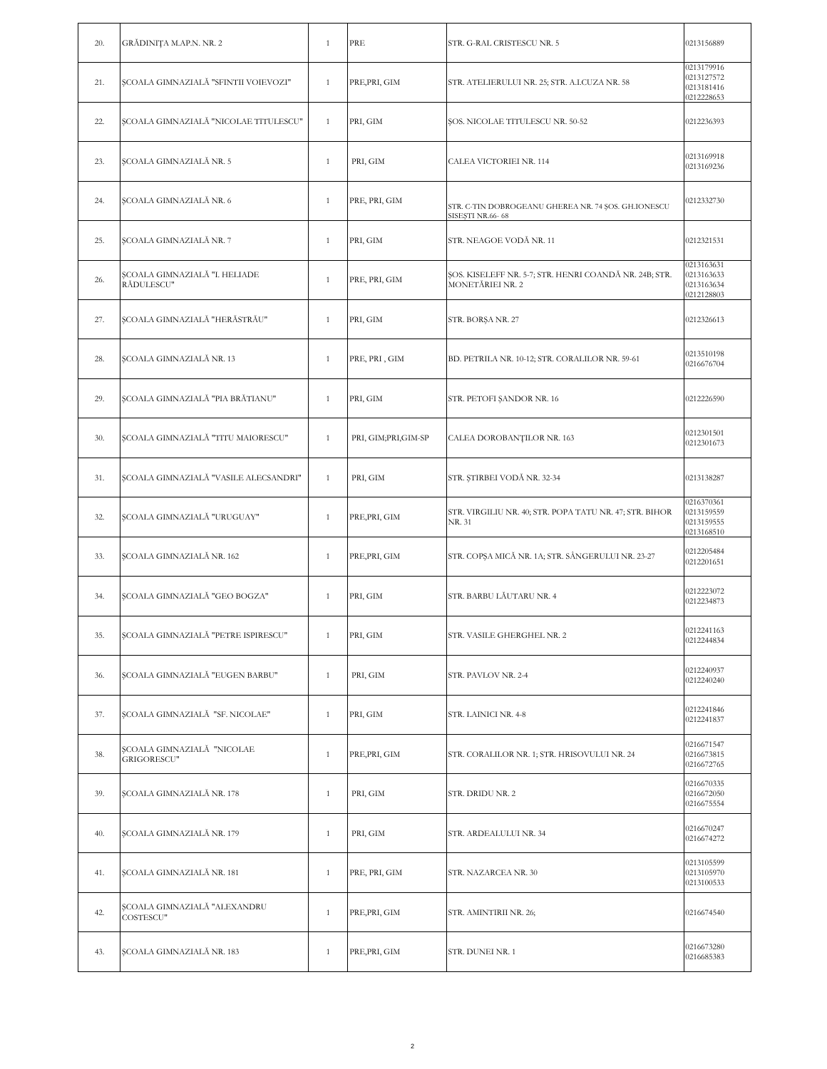| 20. | GRĂDINIȚA M.AP.N. NR. 2                          | $\mathbf{1}$ | PRE                  | STR. G-RAL CRISTESCU NR. 5                                                 | 0213156889                                           |
|-----|--------------------------------------------------|--------------|----------------------|----------------------------------------------------------------------------|------------------------------------------------------|
| 21. | SCOALA GIMNAZIALĂ "SFINTII VOIEVOZI"             | $\mathbf{1}$ | PRE, PRI, GIM        | STR. ATELIERULUI NR. 25; STR. A.I.CUZA NR. 58                              | 0213179916<br>0213127572<br>0213181416<br>0212228653 |
| 22. | SCOALA GIMNAZIALĂ "NICOLAE TITULESCU"            | $\mathbf{1}$ | PRI, GIM             | SOS. NICOLAE TITULESCU NR. 50-52                                           | 0212236393                                           |
| 23. | SCOALA GIMNAZIALĂ NR. 5                          | $\mathbf{1}$ | PRI, GIM             | CALEA VICTORIEI NR. 114                                                    | 0213169918<br>0213169236                             |
| 24. | ȘCOALA GIMNAZIALĂ NR. 6                          | $\mathbf{1}$ | PRE, PRI, GIM        | STR. C-TIN DOBROGEANU GHEREA NR. 74 ȘOS. GH.IONESCU<br>SISESTI NR.66-68    | 0212332730                                           |
| 25. | SCOALA GIMNAZIALĂ NR. 7                          | $\mathbf{1}$ | PRI, GIM             | STR. NEAGOE VODĂ NR. 11                                                    | 0212321531                                           |
| 26. | ȘCOALA GIMNAZIALĂ "I. HELIADE<br>RĂDULESCU"      | $\mathbf{1}$ | PRE, PRI, GIM        | ŞOS. KISELEFF NR. 5-7; STR. HENRI COANDĂ NR. 24B; STR.<br>MONETĂRIEI NR. 2 | 0213163631<br>0213163633<br>0213163634<br>0212128803 |
| 27. | SCOALA GIMNAZIALĂ "HERĂSTRĂU"                    | $\mathbf{1}$ | PRI, GIM             | STR. BORŞA NR. 27                                                          | 0212326613                                           |
| 28. | ȘCOALA GIMNAZIALĂ NR. 13                         | $\mathbf{1}$ | PRE, PRI, GIM        | BD. PETRILA NR. 10-12; STR. CORALILOR NR. 59-61                            | 0213510198<br>0216676704                             |
| 29. | SCOALA GIMNAZIALĂ "PIA BRĂTIANU"                 | $\mathbf{1}$ | PRI, GIM             | STR. PETOFI ŞANDOR NR. 16                                                  | 0212226590                                           |
| 30. | SCOALA GIMNAZIALĂ "TITU MAIORESCU"               | $\mathbf{1}$ | PRI, GIM;PRI, GIM-SP | CALEA DOROBANȚILOR NR. 163                                                 | 0212301501<br>0212301673                             |
| 31. | ȘCOALA GIMNAZIALĂ "VASILE ALECSANDRI"            | $\mathbf{1}$ | PRI, GIM             | STR. ȘTIRBEI VODĂ NR. 32-34                                                | 0213138287                                           |
| 32. | ȘCOALA GIMNAZIALĂ "URUGUAY"                      | $\mathbf{1}$ | PRE, PRI, GIM        | STR. VIRGILIU NR. 40; STR. POPA TATU NR. 47; STR. BIHOR<br>NR. 31          | 0216370361<br>0213159559<br>0213159555<br>0213168510 |
| 33. | ȘCOALA GIMNAZIALĂ NR. 162                        | $\mathbf{1}$ | PRE, PRI, GIM        | STR. COPSA MICĂ NR. 1A; STR. SÂNGERULUI NR. 23-27                          | 0212205484<br>0212201651                             |
| 34. | ȘCOALA GIMNAZIALĂ "GEO BOGZA"                    | $\mathbf{1}$ | PRI, GIM             | STR. BARBU LĂUTARU NR. 4                                                   | 0212223072<br>0212234873                             |
| 35. | ȘCOALA GIMNAZIALĂ "PETRE ISPIRESCU"              | $\mathbf{1}$ | PRI, GIM             | STR. VASILE GHERGHEL NR. 2                                                 | 0212241163<br>0212244834                             |
| 36. | SCOALA GIMNAZIALĂ "EUGEN BARBU"                  | $\mathbf{1}$ | PRI, GIM             | STR. PAVLOV NR. 2-4                                                        | 0212240937<br>0212240240                             |
| 37. | SCOALA GIMNAZIALĂ "SF. NICOLAE"                  | $\mathbf{1}$ | PRI, GIM             | STR. LAINICI NR. 4-8                                                       | 0212241846<br>0212241837                             |
| 38. | SCOALA GIMNAZIALĂ "NICOLAE<br><b>GRIGORESCU"</b> | $\mathbf{1}$ | PRE, PRI, GIM        | STR. CORALILOR NR. 1; STR. HRISOVULUI NR. 24                               | 0216671547<br>0216673815<br>0216672765               |
| 39. | SCOALA GIMNAZIALĂ NR. 178                        | $\mathbf{1}$ | PRI, GIM             | STR. DRIDU NR. 2                                                           | 0216670335<br>0216672050<br>0216675554               |
| 40. | SCOALA GIMNAZIALĂ NR. 179                        | $\mathbf{1}$ | PRI, GIM             | STR. ARDEALULUI NR. 34                                                     | 0216670247<br>0216674272                             |
| 41. | ȘCOALA GIMNAZIALĂ NR. 181                        | $\mathbf{1}$ | PRE, PRI, GIM        | STR. NAZARCEA NR. 30                                                       | 0213105599<br>0213105970<br>0213100533               |
| 42. | ȘCOALA GIMNAZIALĂ "ALEXANDRU<br><b>COSTESCU"</b> | $\mathbf{1}$ | PRE, PRI, GIM        | STR. AMINTIRII NR. 26;                                                     | 0216674540                                           |
| 43. | ȘCOALA GIMNAZIALĂ NR. 183                        | $\mathbf{1}$ | PRE, PRI, GIM        | STR. DUNEI NR. 1                                                           | 0216673280<br>0216685383                             |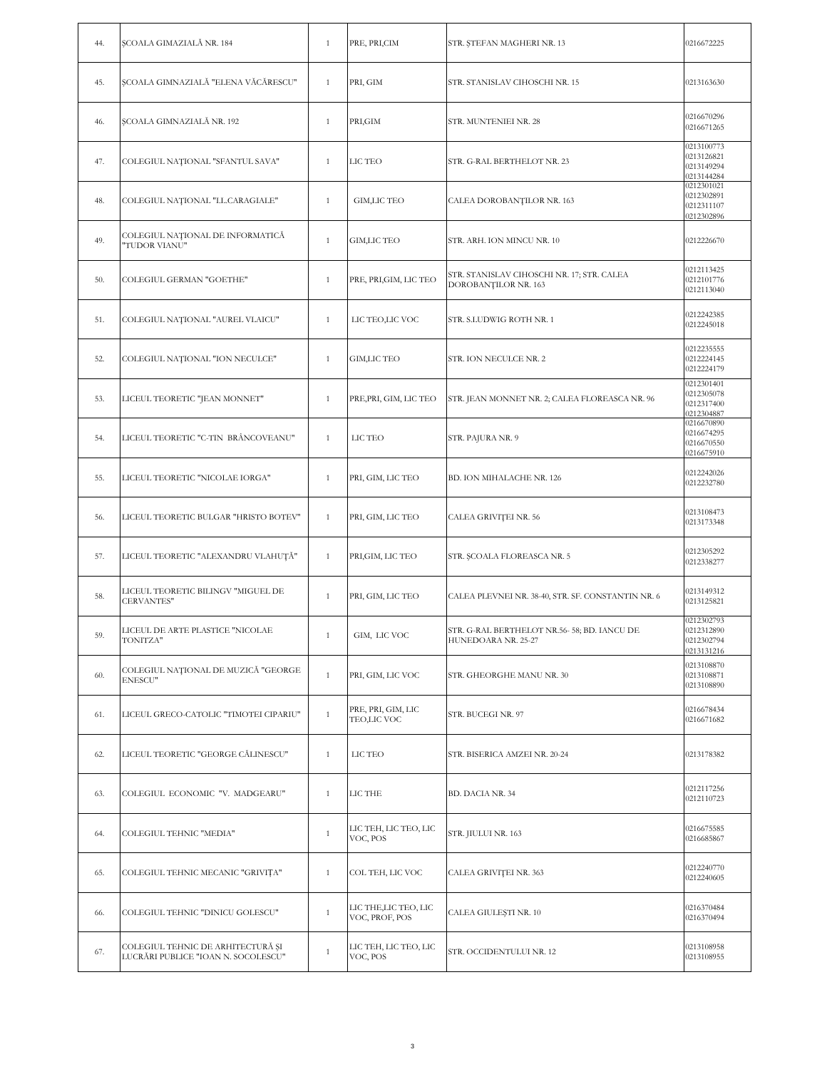| 44. | ȘCOALA GIMAZIALĂ NR. 184                                                 | $\mathbf{1}$ | PRE, PRI, CIM                          | STR. ŞTEFAN MAGHERI NR. 13                                          | 0216672225                                           |
|-----|--------------------------------------------------------------------------|--------------|----------------------------------------|---------------------------------------------------------------------|------------------------------------------------------|
| 45. | SCOALA GIMNAZIALĂ "ELENA VĂCĂRESCU"                                      | $\mathbf{1}$ | PRI, GIM                               | STR. STANISLAV CIHOSCHI NR. 15                                      | 0213163630                                           |
| 46. | ȘCOALA GIMNAZIALĂ NR. 192                                                | $\mathbf{1}$ | PRI, GIM                               | STR. MUNTENIEI NR. 28                                               | 0216670296<br>0216671265                             |
| 47. | COLEGIUL NAȚIONAL "SFANTUL SAVA"                                         | $\mathbf{1}$ | LIC TEO                                | STR. G-RAL BERTHELOT NR. 23                                         | 0213100773<br>0213126821<br>0213149294<br>0213144284 |
| 48. | COLEGIUL NAȚIONAL "I.L.CARAGIALE"                                        | $\mathbf{1}$ | <b>GIM,LIC TEO</b>                     | CALEA DOROBANȚILOR NR. 163                                          | 0212301021<br>0212302891<br>0212311107<br>0212302896 |
| 49. | COLEGIUL NAȚIONAL DE INFORMATICĂ<br>"TUDOR VIANU"                        | $\mathbf{1}$ | <b>GIM,LIC TEO</b>                     | STR. ARH. ION MINCU NR. 10                                          | 0212226670                                           |
| 50. | COLEGIUL GERMAN "GOETHE"                                                 | $\mathbf{1}$ | PRE, PRI, GIM, LIC TEO                 | STR. STANISLAV CIHOSCHI NR. 17; STR. CALEA<br>DOROBANȚILOR NR. 163  | 0212113425<br>0212101776<br>0212113040               |
| 51. | COLEGIUL NAȚIONAL "AUREL VLAICU"                                         | $\mathbf{1}$ | LIC TEO,LIC VOC                        | STR. S.LUDWIG ROTH NR. 1                                            | 0212242385<br>0212245018                             |
| 52. | COLEGIUL NAȚIONAL "ION NECULCE"                                          | $\mathbf{1}$ | <b>GIM,LIC TEO</b>                     | STR. ION NECULCE NR. 2                                              | 0212235555<br>0212224145<br>0212224179               |
| 53. | LICEUL TEORETIC "JEAN MONNET"                                            | $\mathbf{1}$ | PRE, PRI, GIM, LIC TEO                 | STR. JEAN MONNET NR. 2; CALEA FLOREASCA NR. 96                      | 0212301401<br>0212305078<br>0212317400<br>0212304887 |
| 54. | LICEUL TEORETIC "C-TIN  BRÂNCOVEANU"                                     | $\mathbf{1}$ | LIC TEO                                | STR. PAJURA NR. 9                                                   | 0216670890<br>0216674295<br>0216670550<br>0216675910 |
| 55. | LICEUL TEORETIC "NICOLAE IORGA"                                          | $\mathbf{1}$ | PRI, GIM, LIC TEO                      | BD. ION MIHALACHE NR. 126                                           | 0212242026<br>0212232780                             |
| 56. | LICEUL TEORETIC BULGAR "HRISTO BOTEV"                                    | $\mathbf{1}$ | PRI, GIM, LIC TEO                      | CALEA GRIVIȚEI NR. 56                                               | 0213108473<br>0213173348                             |
| 57. | LICEUL TEORETIC "ALEXANDRU VLAHUȚĂ"                                      | $\mathbf{1}$ | PRI, GIM, LIC TEO                      | STR. ȘCOALA FLOREASCA NR. 5                                         | 0212305292<br>0212338277                             |
| 58. | LICEUL TEORETIC BILINGV "MIGUEL DE<br><b>CERVANTES"</b>                  | $\mathbf{1}$ | PRI, GIM, LIC TEO                      | CALEA PLEVNEI NR. 38-40, STR. SF. CONSTANTIN NR. 6                  | 0213149312<br>0213125821                             |
| 59. | LICEUL DE ARTE PLASTICE "NICOLAE<br>TONITZA"                             |              | GIM, LIC VOC                           | STR. G-RAL BERTHELOT NR.56- 58; BD. IANCU DE<br>HUNEDOARA NR. 25-27 | 0212302793<br>0212312890<br>0212302794<br>0213131216 |
| 60. | COLEGIUL NATIONAL DE MUZICĂ "GEORGE<br><b>ENESCU"</b>                    | $\mathbf{1}$ | PRI, GIM, LIC VOC                      | STR. GHEORGHE MANU NR. 30                                           | 0213108870<br>0213108871<br>0213108890               |
| 61. | LICEUL GRECO-CATOLIC "TIMOTEI CIPARIU"                                   | $\mathbf{1}$ | PRE, PRI, GIM, LIC<br>TEO,LIC VOC      | STR. BUCEGI NR. 97                                                  | 0216678434<br>0216671682                             |
| 62. | LICEUL TEORETIC "GEORGE CĂLINESCU"                                       | $\mathbf{1}$ | LIC TEO                                | STR. BISERICA AMZEI NR. 20-24                                       | 0213178382                                           |
| 63. | COLEGIUL ECONOMIC "V. MADGEARU"                                          | $\mathbf{1}$ | LIC THE                                | BD. DACIA NR. 34                                                    | 0212117256<br>0212110723                             |
| 64. | COLEGIUL TEHNIC "MEDIA"                                                  | $\mathbf{1}$ | LIC TEH, LIC TEO, LIC<br>VOC, POS      | STR. JIULUI NR. 163                                                 | 0216675585<br>0216685867                             |
| 65. | COLEGIUL TEHNIC MECANIC "GRIVIȚA"                                        | $\mathbf{1}$ | COL TEH, LIC VOC                       | CALEA GRIVIȚEI NR. 363                                              | 0212240770<br>0212240605                             |
| 66. | COLEGIUL TEHNIC "DINICU GOLESCU"                                         | $\mathbf{1}$ | LIC THE,LIC TEO, LIC<br>VOC, PROF, POS | CALEA GIULEȘTI NR. 10                                               | 0216370484<br>0216370494                             |
| 67. | COLEGIUL TEHNIC DE ARHITECTURĂ ȘI<br>LUCRĂRI PUBLICE "IOAN N. SOCOLESCU" | $\mathbf{1}$ | LIC TEH, LIC TEO, LIC<br>VOC, POS      | STR. OCCIDENTULUI NR. 12                                            | 0213108958<br>0213108955                             |